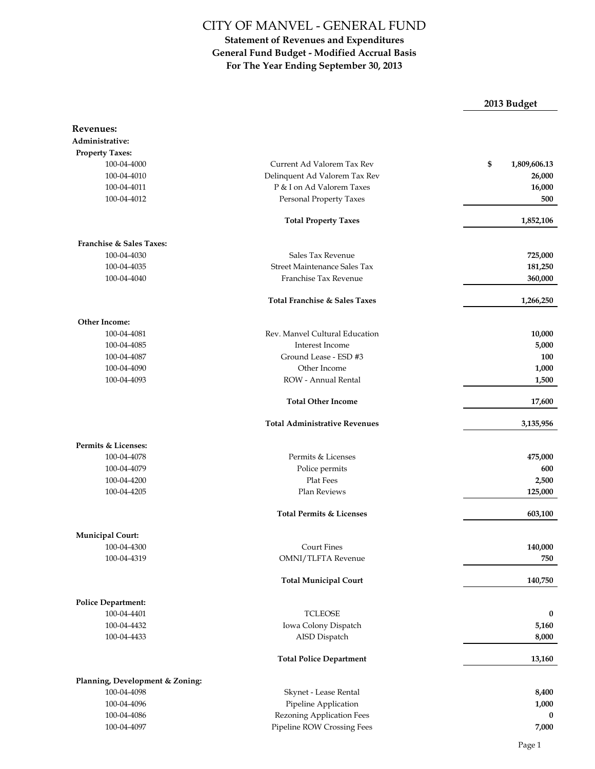### **Statement of Revenues and Expenditures General Fund Budget - Modified Accrual Basis For The Year Ending September 30, 2013**

**2013 Budget**

| Revenues:                       |                                      |                    |
|---------------------------------|--------------------------------------|--------------------|
| Administrative:                 |                                      |                    |
| <b>Property Taxes:</b>          |                                      |                    |
| 100-04-4000                     | Current Ad Valorem Tax Rev           | \$<br>1,809,606.13 |
| 100-04-4010                     | Delinquent Ad Valorem Tax Rev        | 26,000             |
| 100-04-4011                     | P & I on Ad Valorem Taxes            | 16,000             |
| 100-04-4012                     | Personal Property Taxes              | 500                |
|                                 |                                      |                    |
|                                 | <b>Total Property Taxes</b>          | 1,852,106          |
| Franchise & Sales Taxes:        |                                      |                    |
| 100-04-4030                     | Sales Tax Revenue                    | 725,000            |
| 100-04-4035                     | Street Maintenance Sales Tax         | 181,250            |
| 100-04-4040                     | Franchise Tax Revenue                | 360,000            |
|                                 | Total Franchise & Sales Taxes        | 1,266,250          |
| <b>Other Income:</b>            |                                      |                    |
| 100-04-4081                     | Rev. Manvel Cultural Education       | 10,000             |
| 100-04-4085                     | Interest Income                      | 5,000              |
| 100-04-4087                     | Ground Lease - ESD #3                | 100                |
| 100-04-4090                     | Other Income                         | 1,000              |
| 100-04-4093                     | ROW - Annual Rental                  | 1,500              |
|                                 | <b>Total Other Income</b>            | 17,600             |
|                                 | <b>Total Administrative Revenues</b> | 3,135,956          |
| Permits & Licenses:             |                                      |                    |
| 100-04-4078                     | Permits & Licenses                   | 475,000            |
| 100-04-4079                     | Police permits                       | 600                |
| 100-04-4200                     | Plat Fees                            | 2,500              |
| 100-04-4205                     | Plan Reviews                         | 125,000            |
|                                 | <b>Total Permits &amp; Licenses</b>  | 603,100            |
| <b>Municipal Court:</b>         |                                      |                    |
| 100-04-4300                     | <b>Court Fines</b>                   | 140,000            |
| 100-04-4319                     | OMNI/TLFTA Revenue                   | 750                |
|                                 | <b>Total Municipal Court</b>         | 140,750            |
| <b>Police Department:</b>       |                                      |                    |
| 100-04-4401                     | <b>TCLEOSE</b>                       | 0                  |
| 100-04-4432                     | Iowa Colony Dispatch                 | 5,160              |
| 100-04-4433                     | AISD Dispatch                        | 8,000              |
|                                 | <b>Total Police Department</b>       | 13,160             |
| Planning, Development & Zoning: |                                      |                    |
| 100-04-4098                     | Skynet - Lease Rental                | 8,400              |
| 100-04-4096                     | Pipeline Application                 | 1,000              |
| 100-04-4086                     | Rezoning Application Fees            | 0                  |
| 100-04-4097                     | Pipeline ROW Crossing Fees           | 7,000              |
|                                 |                                      |                    |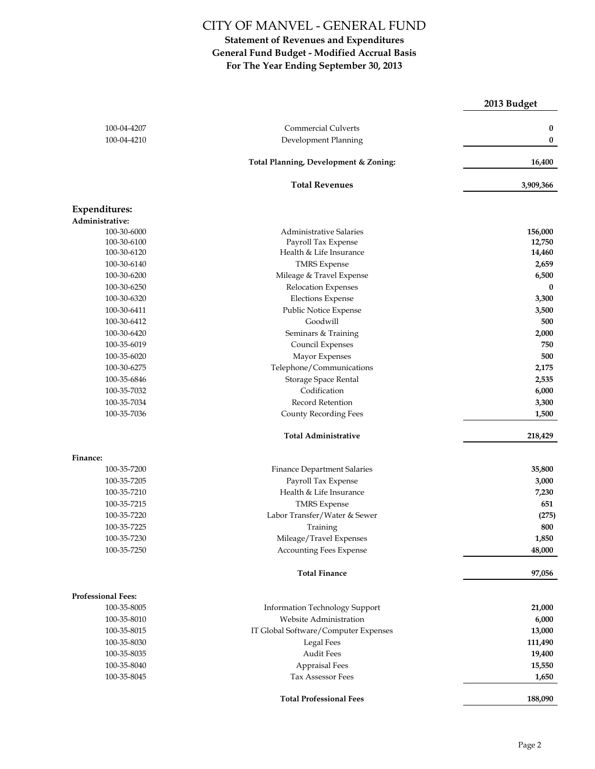|                                         |                                       | 2013 Budget |
|-----------------------------------------|---------------------------------------|-------------|
| 100-04-4207                             | <b>Commercial Culverts</b>            | 0           |
| 100-04-4210                             | Development Planning                  | 0           |
|                                         | Total Planning, Development & Zoning: | 16,400      |
|                                         | <b>Total Revenues</b>                 | 3,909,366   |
| <b>Expenditures:</b><br>Administrative: |                                       |             |
| 100-30-6000                             | <b>Administrative Salaries</b>        | 156,000     |
| 100-30-6100                             | Payroll Tax Expense                   | 12,750      |
| 100-30-6120                             | Health & Life Insurance               | 14,460      |
| 100-30-6140                             | <b>TMRS</b> Expense                   | 2,659       |
| 100-30-6200                             | Mileage & Travel Expense              | 6,500       |
| 100-30-6250                             | Relocation Expenses                   | $\bf{0}$    |
| 100-30-6320                             | <b>Elections Expense</b>              | 3,300       |
| 100-30-6411                             | Public Notice Expense                 | 3,500       |
| 100-30-6412                             | Goodwill                              | 500         |
| 100-30-6420                             | Seminars & Training                   | 2,000       |
| 100-35-6019                             | Council Expenses                      | 750         |
| 100-35-6020                             | Mayor Expenses                        | 500         |
| 100-30-6275                             | Telephone/Communications              | 2,175       |
| 100-35-6846                             | Storage Space Rental                  | 2,535       |
| 100-35-7032                             | Codification                          | 6,000       |
| 100-35-7034                             | Record Retention                      | 3,300       |
| 100-35-7036                             | County Recording Fees                 | 1,500       |
|                                         | <b>Total Administrative</b>           | 218,429     |
| Finance:                                |                                       |             |
| 100-35-7200                             | <b>Finance Department Salaries</b>    | 35,800      |
| 100-35-7205                             | Payroll Tax Expense                   | 3,000       |
| 100-35-7210                             | Health & Life Insurance               | 7,230       |
| 100-35-7215                             | <b>TMRS</b> Expense                   | 651         |
| 100-35-7220                             | Labor Transfer/Water & Sewer          | (275)       |
| 100-35-7225                             | Training                              | 800         |
| 100-35-7230                             | Mileage/Travel Expenses               | 1,850       |
| 100-35-7250                             | <b>Accounting Fees Expense</b>        | 48,000      |
|                                         | <b>Total Finance</b>                  | 97,056      |
| Professional Fees:                      |                                       |             |
| 100-35-8005                             | Information Technology Support        | 21,000      |
| 100-35-8010                             | Website Administration                | 6,000       |
| 100-35-8015                             | IT Global Software/Computer Expenses  | 13,000      |
| 100-35-8030                             | Legal Fees                            | 111,490     |
| 100-35-8035                             | Audit Fees                            | 19,400      |
| 100-35-8040                             | <b>Appraisal Fees</b>                 | 15,550      |
| 100-35-8045                             | Tax Assessor Fees                     | 1,650       |
|                                         | <b>Total Professional Fees</b>        | 188,090     |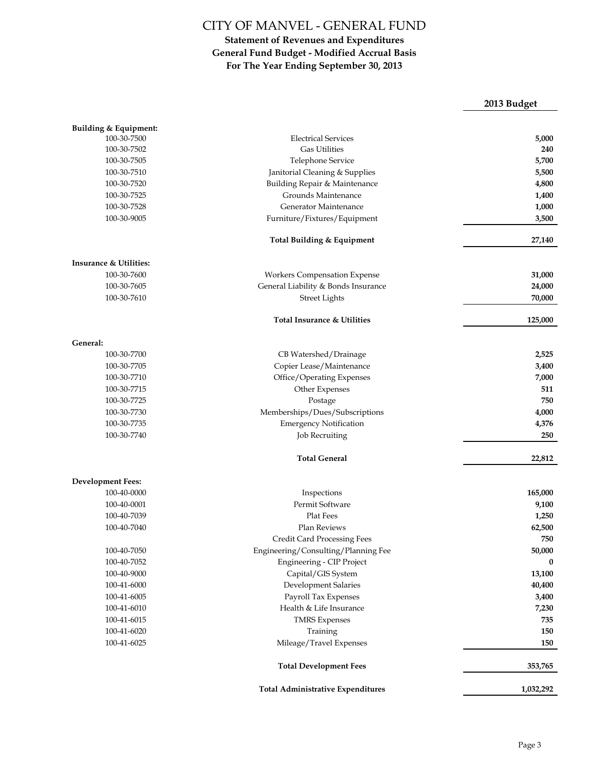|                                   |                                          | 2013 Budget |
|-----------------------------------|------------------------------------------|-------------|
| Building & Equipment:             |                                          |             |
| 100-30-7500                       | <b>Electrical Services</b>               | 5,000       |
| 100-30-7502                       | <b>Gas Utilities</b>                     | 240         |
| 100-30-7505                       | Telephone Service                        | 5,700       |
| 100-30-7510                       | Janitorial Cleaning & Supplies           | 5,500       |
| 100-30-7520                       | Building Repair & Maintenance            | 4,800       |
| 100-30-7525                       | Grounds Maintenance                      | 1,400       |
| 100-30-7528                       | Generator Maintenance                    | 1,000       |
| 100-30-9005                       | Furniture/Fixtures/Equipment             | 3,500       |
|                                   | Total Building & Equipment               | 27,140      |
| <b>Insurance &amp; Utilities:</b> |                                          |             |
| 100-30-7600                       | Workers Compensation Expense             | 31,000      |
| 100-30-7605                       | General Liability & Bonds Insurance      | 24,000      |
| 100-30-7610                       | <b>Street Lights</b>                     | 70,000      |
|                                   | Total Insurance & Utilities              | 125,000     |
| General:                          |                                          |             |
| 100-30-7700                       | CB Watershed/Drainage                    | 2,525       |
| 100-30-7705                       | Copier Lease/Maintenance                 | 3,400       |
| 100-30-7710                       | Office/Operating Expenses                | 7,000       |
| 100-30-7715                       | Other Expenses                           | 511         |
| 100-30-7725                       | Postage                                  | 750         |
| 100-30-7730                       | Memberships/Dues/Subscriptions           | 4,000       |
| 100-30-7735                       | <b>Emergency Notification</b>            | 4,376       |
| 100-30-7740                       | <b>Job Recruiting</b>                    | 250         |
|                                   | <b>Total General</b>                     | 22,812      |
| <b>Development Fees:</b>          |                                          |             |
| 100-40-0000                       | Inspections                              | 165,000     |
| 100-40-0001                       | Permit Software                          | 9,100       |
| 100-40-7039                       | <b>Plat Fees</b>                         | 1,250       |
| 100-40-7040                       | Plan Reviews                             | 62,500      |
|                                   | Credit Card Processing Fees              | 750         |
| 100-40-7050                       | Engineering/Consulting/Planning Fee      | 50,000      |
| 100-40-7052                       | <b>Engineering - CIP Project</b>         | 0           |
| 100-40-9000                       | Capital/GIS System                       | 13,100      |
| 100-41-6000                       | Development Salaries                     | 40,400      |
| 100-41-6005                       | Payroll Tax Expenses                     | 3,400       |
| 100-41-6010                       | Health & Life Insurance                  | 7,230       |
| 100-41-6015                       | <b>TMRS</b> Expenses                     | 735         |
| 100-41-6020                       | Training                                 | 150         |
| 100-41-6025                       | Mileage/Travel Expenses                  | 150         |
|                                   | <b>Total Development Fees</b>            | 353,765     |
|                                   | <b>Total Administrative Expenditures</b> | 1,032,292   |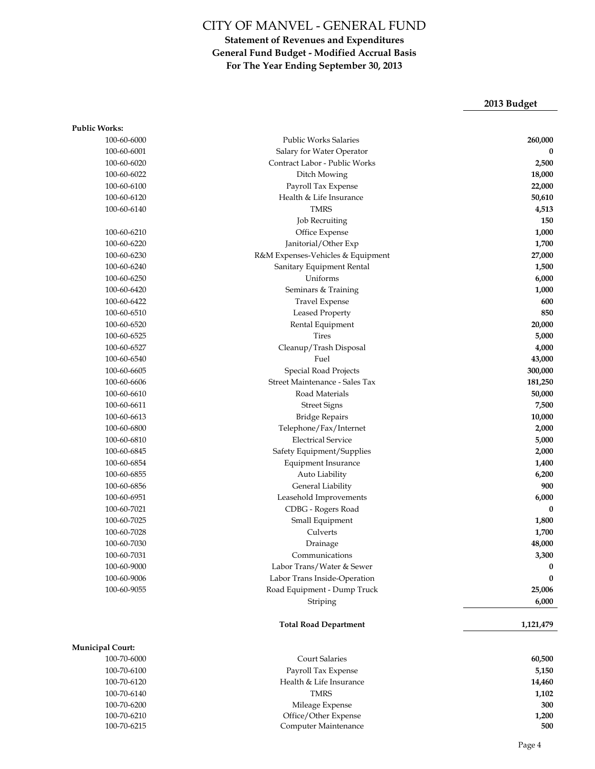### **Statement of Revenues and Expenditures General Fund Budget - Modified Accrual Basis For The Year Ending September 30, 2013**

## **2013 Budget**

| <b>Public Works:</b>    |                                   |           |
|-------------------------|-----------------------------------|-----------|
| 100-60-6000             | <b>Public Works Salaries</b>      | 260,000   |
| 100-60-6001             | Salary for Water Operator         | 0         |
| 100-60-6020             | Contract Labor - Public Works     | 2,500     |
| 100-60-6022             | Ditch Mowing                      | 18,000    |
| 100-60-6100             | Payroll Tax Expense               | 22,000    |
| 100-60-6120             | Health & Life Insurance           | 50,610    |
| 100-60-6140             | <b>TMRS</b>                       | 4,513     |
|                         | <b>Job Recruiting</b>             | 150       |
| 100-60-6210             | Office Expense                    | 1,000     |
| 100-60-6220             | Janitorial/Other Exp              | 1,700     |
| 100-60-6230             | R&M Expenses-Vehicles & Equipment | 27,000    |
| 100-60-6240             | Sanitary Equipment Rental         | 1,500     |
| 100-60-6250             | Uniforms                          | 6,000     |
| 100-60-6420             | Seminars & Training               | 1,000     |
| 100-60-6422             | Travel Expense                    | 600       |
| 100-60-6510             | <b>Leased Property</b>            | 850       |
| 100-60-6520             | Rental Equipment                  | 20,000    |
| 100-60-6525             | <b>Tires</b>                      | 5,000     |
| 100-60-6527             | Cleanup/Trash Disposal            | 4,000     |
| 100-60-6540             | Fuel                              | 43,000    |
| 100-60-6605             | Special Road Projects             | 300,000   |
| 100-60-6606             | Street Maintenance - Sales Tax    | 181,250   |
| 100-60-6610             | Road Materials                    | 50,000    |
| 100-60-6611             | <b>Street Signs</b>               | 7,500     |
| 100-60-6613             | <b>Bridge Repairs</b>             | 10,000    |
| 100-60-6800             | Telephone/Fax/Internet            | 2,000     |
| 100-60-6810             | <b>Electrical Service</b>         | 5,000     |
| 100-60-6845             | Safety Equipment/Supplies         | 2,000     |
| 100-60-6854             | Equipment Insurance               | 1,400     |
| 100-60-6855             | Auto Liability                    | 6,200     |
| 100-60-6856             | General Liability                 | 900       |
| 100-60-6951             | Leasehold Improvements            | 6,000     |
| 100-60-7021             | CDBG - Rogers Road                | 0         |
| 100-60-7025             | Small Equipment                   | 1,800     |
| 100-60-7028             | Culverts                          | 1,700     |
| 100-60-7030             | Drainage                          | 48,000    |
| 100-60-7031             | Communications                    | 3,300     |
| 100-60-9000             | Labor Trans/Water & Sewer         | $\bf{0}$  |
| 100-60-9006             | Labor Trans Inside-Operation      | $\bf{0}$  |
| 100-60-9055             | Road Equipment - Dump Truck       | 25,006    |
|                         | Striping                          | 6,000     |
|                         | <b>Total Road Department</b>      | 1,121,479 |
| <b>Municipal Court:</b> |                                   |           |
| 100-70-6000             | <b>Court Salaries</b>             | 60,500    |
| 100-70-6100             | Payroll Tax Expense               | 5,150     |
| 100-70-6120             | Health & Life Insurance           | 14,460    |
| 100-70-6140             | <b>TMRS</b>                       | 1,102     |
| 100-70-6200             | Mileage Expense                   | 300       |
| 100-70-6210             | Office/Other Expense              | 1,200     |
| 100-70-6215             | Computer Maintenance              | 500       |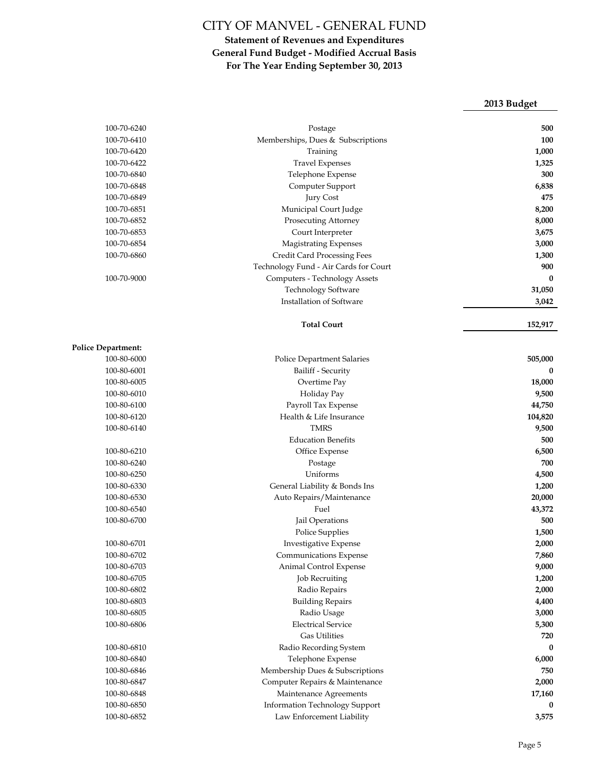|                           |                                                      | 2013 Budget        |
|---------------------------|------------------------------------------------------|--------------------|
|                           |                                                      |                    |
| 100-70-6240               | Postage                                              | 500                |
| 100-70-6410               | Memberships, Dues & Subscriptions                    | 100                |
| 100-70-6420               | Training                                             | 1,000              |
| 100-70-6422               | <b>Travel Expenses</b>                               | 1,325              |
| 100-70-6840               | Telephone Expense                                    | 300                |
| 100-70-6848               | Computer Support                                     | 6,838              |
| 100-70-6849               | Jury Cost                                            | 475                |
| 100-70-6851               | Municipal Court Judge                                | 8,200              |
| 100-70-6852               | Prosecuting Attorney                                 | 8,000              |
| 100-70-6853               | Court Interpreter                                    | 3,675              |
| 100-70-6854               | <b>Magistrating Expenses</b>                         | 3,000              |
| 100-70-6860               | Credit Card Processing Fees                          | 1,300              |
|                           | Technology Fund - Air Cards for Court                | 900                |
| 100-70-9000               | Computers - Technology Assets                        | $\bf{0}$           |
|                           | <b>Technology Software</b>                           | 31,050             |
|                           | Installation of Software                             | 3,042              |
|                           | <b>Total Court</b>                                   | 152,917            |
| <b>Police Department:</b> |                                                      |                    |
| 100-80-6000               | Police Department Salaries                           | 505,000            |
| 100-80-6001               | Bailiff - Security                                   | 0                  |
| 100-80-6005               | Overtime Pay                                         | 18,000             |
| 100-80-6010               | Holiday Pay                                          | 9,500              |
| 100-80-6100               | Payroll Tax Expense                                  | 44,750             |
| 100-80-6120               | Health & Life Insurance                              | 104,820            |
| 100-80-6140               | <b>TMRS</b>                                          | 9,500              |
|                           | <b>Education Benefits</b>                            | 500                |
| 100-80-6210               | Office Expense                                       | 6,500              |
| 100-80-6240               | Postage                                              | 700                |
| 100-80-6250               | Uniforms                                             | 4,500              |
| 100-80-6330               | General Liability & Bonds Ins                        | 1,200              |
| 100-80-6530               | Auto Repairs/Maintenance                             | 20,000             |
| 100-80-6540               | Fuel                                                 | 43,372             |
| 100-80-6700               | Jail Operations                                      | 500                |
|                           | Police Supplies                                      | 1,500              |
| 100-80-6701               | Investigative Expense                                | 2,000              |
| 100-80-6702               | Communications Expense                               | 7,860              |
| 100-80-6703               | Animal Control Expense                               | 9,000              |
| 100-80-6705               | <b>Job Recruiting</b>                                | 1,200              |
| 100-80-6802               | Radio Repairs                                        | 2,000              |
| 100-80-6803               | <b>Building Repairs</b>                              | 4,400              |
| 100-80-6805               | Radio Usage                                          | 3,000              |
| 100-80-6806               | <b>Electrical Service</b>                            | 5,300              |
|                           | <b>Gas Utilities</b>                                 |                    |
| 100-80-6810               | Radio Recording System                               | 720<br>0           |
| 100-80-6840               |                                                      |                    |
| 100-80-6846               | Telephone Expense<br>Membership Dues & Subscriptions | 6,000<br>750       |
| 100-80-6847               | Computer Repairs & Maintenance                       | 2,000              |
| 100-80-6848               | Maintenance Agreements                               |                    |
| 100-80-6850               | Information Technology Support                       | 17,160<br>$\bf{0}$ |
|                           |                                                      |                    |
| 100-80-6852               | Law Enforcement Liability                            | 3,575              |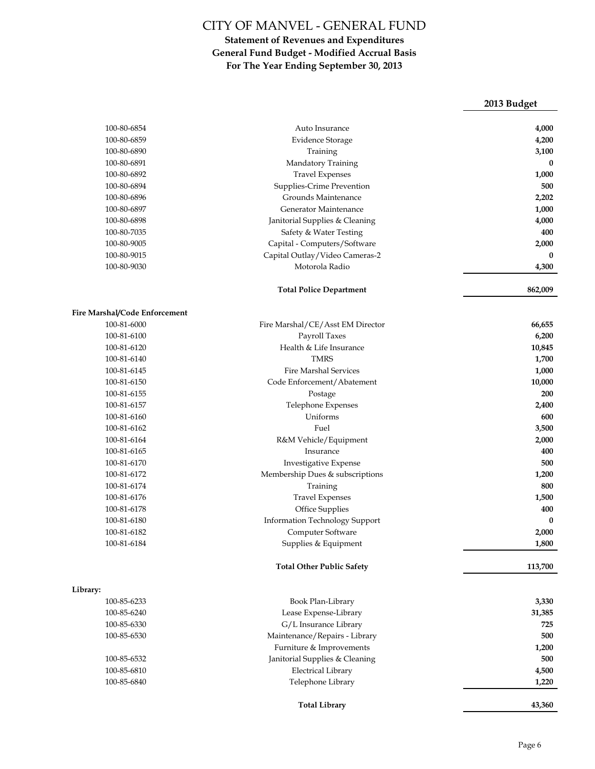|                               |                                                  | 2013 Budget  |
|-------------------------------|--------------------------------------------------|--------------|
| 100-80-6854                   | Auto Insurance                                   | 4,000        |
| 100-80-6859                   | <b>Evidence Storage</b>                          | 4,200        |
| 100-80-6890                   | Training                                         | 3,100        |
| 100-80-6891                   | Mandatory Training                               | $\bf{0}$     |
| 100-80-6892                   | <b>Travel Expenses</b>                           | 1,000        |
| 100-80-6894                   | Supplies-Crime Prevention                        | 500          |
| 100-80-6896                   | Grounds Maintenance                              | 2,202        |
| 100-80-6897                   | Generator Maintenance                            | 1,000        |
| 100-80-6898                   | Janitorial Supplies & Cleaning                   | 4,000        |
| 100-80-7035                   | Safety & Water Testing                           | 400          |
| 100-80-9005                   | Capital - Computers/Software                     | 2,000        |
| 100-80-9015                   |                                                  | $\mathbf{0}$ |
| 100-80-9030                   | Capital Outlay/Video Cameras-2<br>Motorola Radio |              |
|                               |                                                  | 4,300        |
|                               | <b>Total Police Department</b>                   | 862,009      |
|                               |                                                  |              |
| Fire Marshal/Code Enforcement |                                                  |              |
| 100-81-6000                   | Fire Marshal/CE/Asst EM Director                 | 66,655       |
| 100-81-6100                   | Payroll Taxes                                    | 6,200        |
| 100-81-6120                   | Health & Life Insurance                          | 10,845       |
| 100-81-6140                   | <b>TMRS</b>                                      | 1,700        |
| 100-81-6145                   | <b>Fire Marshal Services</b>                     | 1,000        |
| 100-81-6150                   | Code Enforcement/Abatement                       | 10,000       |
| 100-81-6155                   | Postage                                          | 200          |
| 100-81-6157                   | Telephone Expenses                               | 2,400        |
| 100-81-6160                   | Uniforms                                         | 600          |
| 100-81-6162                   | Fuel                                             | 3,500        |
| 100-81-6164                   | R&M Vehicle/Equipment                            | 2,000        |
| 100-81-6165                   | Insurance                                        | 400          |
| 100-81-6170                   | Investigative Expense                            | 500          |
| 100-81-6172                   | Membership Dues & subscriptions                  | 1,200        |
| 100-81-6174                   | Training                                         | 800          |
| 100-81-6176                   | <b>Travel Expenses</b>                           | 1,500        |
| 100-81-6178                   | Office Supplies                                  | 400          |
| 100-81-6180                   | Information Technology Support                   | $\bf{0}$     |
| 100-81-6182                   | Computer Software                                | 2,000        |
| 100-81-6184                   | Supplies & Equipment                             | 1,800        |
|                               | <b>Total Other Public Safety</b>                 | 113,700      |
| Library:                      |                                                  |              |
| 100-85-6233                   | Book Plan-Library                                | 3,330        |
| 100-85-6240                   | Lease Expense-Library                            | 31,385       |
| 100-85-6330                   | G/L Insurance Library                            | 725          |
| 100-85-6530                   | Maintenance/Repairs - Library                    | 500          |
|                               | Furniture & Improvements                         | 1,200        |
| 100-85-6532                   | Janitorial Supplies & Cleaning                   | 500          |
| 100-85-6810                   | <b>Electrical Library</b>                        | 4,500        |
| 100-85-6840                   | Telephone Library                                | 1,220        |
|                               |                                                  |              |
|                               | <b>Total Library</b>                             | 43,360       |